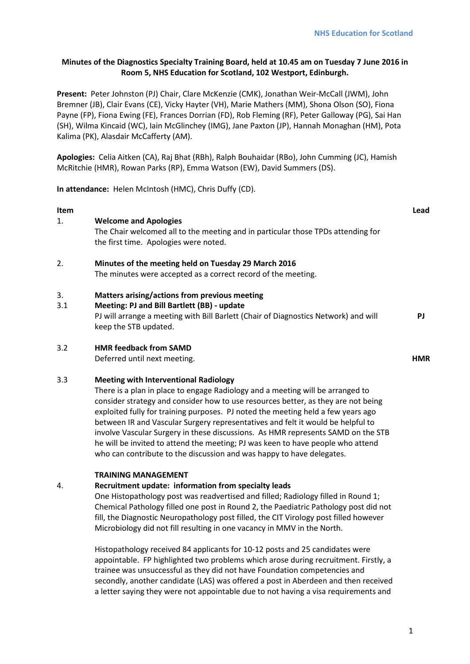# **Minutes of the Diagnostics Specialty Training Board, held at 10.45 am on Tuesday 7 June 2016 in Room 5, NHS Education for Scotland, 102 Westport, Edinburgh.**

**Present:** Peter Johnston (PJ) Chair, Clare McKenzie (CMK), Jonathan Weir-McCall (JWM), John Bremner (JB), Clair Evans (CE), Vicky Hayter (VH), Marie Mathers (MM), Shona Olson (SO), Fiona Payne (FP), Fiona Ewing (FE), Frances Dorrian (FD), Rob Fleming (RF), Peter Galloway (PG), Sai Han (SH), Wilma Kincaid (WC), Iain McGlinchey (IMG), Jane Paxton (JP), Hannah Monaghan (HM), Pota Kalima (PK), Alasdair McCafferty (AM).

**Apologies:** Celia Aitken (CA), Raj Bhat (RBh), Ralph Bouhaidar (RBo), John Cumming (JC), Hamish McRitchie (HMR), Rowan Parks (RP), Emma Watson (EW), David Summers (DS).

**In attendance:** Helen McIntosh (HMC), Chris Duffy (CD).

### **Item Lead**

# 1. **Welcome and Apologies**

The Chair welcomed all to the meeting and in particular those TPDs attending for the first time. Apologies were noted.

# 2. **Minutes of the meeting held on Tuesday 29 March 2016**

The minutes were accepted as a correct record of the meeting.

### 3. **Matters arising/actions from previous meeting**

3.1 **Meeting: PJ and Bill Bartlett (BB) - update** PJ will arrange a meeting with Bill Barlett (Chair of Diagnostics Network) and will keep the STB updated. **PJ**

# 3.2 **HMR feedback from SAMD**

Deferred until next meeting. **HMR**

# 3.3 **Meeting with Interventional Radiology**

There is a plan in place to engage Radiology and a meeting will be arranged to consider strategy and consider how to use resources better, as they are not being exploited fully for training purposes. PJ noted the meeting held a few years ago between IR and Vascular Surgery representatives and felt it would be helpful to involve Vascular Surgery in these discussions. As HMR represents SAMD on the STB he will be invited to attend the meeting; PJ was keen to have people who attend who can contribute to the discussion and was happy to have delegates.

### **TRAINING MANAGEMENT**

# 4. **Recruitment update: information from specialty leads**

One Histopathology post was readvertised and filled; Radiology filled in Round 1; Chemical Pathology filled one post in Round 2, the Paediatric Pathology post did not fill, the Diagnostic Neuropathology post filled, the CIT Virology post filled however Microbiology did not fill resulting in one vacancy in MMV in the North.

Histopathology received 84 applicants for 10-12 posts and 25 candidates were appointable. FP highlighted two problems which arose during recruitment. Firstly, a trainee was unsuccessful as they did not have Foundation competencies and secondly, another candidate (LAS) was offered a post in Aberdeen and then received a letter saying they were not appointable due to not having a visa requirements and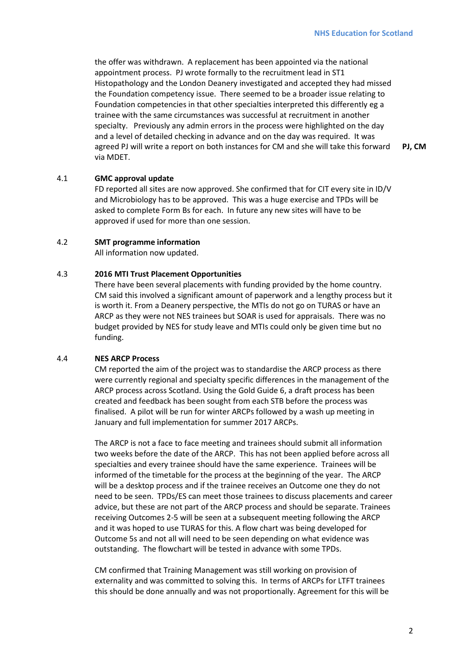the offer was withdrawn. A replacement has been appointed via the national appointment process. PJ wrote formally to the recruitment lead in ST1 Histopathology and the London Deanery investigated and accepted they had missed the Foundation competency issue. There seemed to be a broader issue relating to Foundation competencies in that other specialties interpreted this differently eg a trainee with the same circumstances was successful at recruitment in another specialty. Previously any admin errors in the process were highlighted on the day and a level of detailed checking in advance and on the day was required. It was agreed PJ will write a report on both instances for CM and she will take this forward via MDET. **PJ, CM**

# 4.1 **GMC approval update**

FD reported all sites are now approved. She confirmed that for CIT every site in ID/V and Microbiology has to be approved. This was a huge exercise and TPDs will be asked to complete Form Bs for each. In future any new sites will have to be approved if used for more than one session.

### 4.2 **SMT programme information**

All information now updated.

### 4.3 **2016 MTI Trust Placement Opportunities**

There have been several placements with funding provided by the home country. CM said this involved a significant amount of paperwork and a lengthy process but it is worth it. From a Deanery perspective, the MTIs do not go on TURAS or have an ARCP as they were not NES trainees but SOAR is used for appraisals. There was no budget provided by NES for study leave and MTIs could only be given time but no funding.

### 4.4 **NES ARCP Process**

CM reported the aim of the project was to standardise the ARCP process as there were currently regional and specialty specific differences in the management of the ARCP process across Scotland. Using the Gold Guide 6, a draft process has been created and feedback has been sought from each STB before the process was finalised. A pilot will be run for winter ARCPs followed by a wash up meeting in January and full implementation for summer 2017 ARCPs.

The ARCP is not a face to face meeting and trainees should submit all information two weeks before the date of the ARCP. This has not been applied before across all specialties and every trainee should have the same experience. Trainees will be informed of the timetable for the process at the beginning of the year. The ARCP will be a desktop process and if the trainee receives an Outcome one they do not need to be seen. TPDs/ES can meet those trainees to discuss placements and career advice, but these are not part of the ARCP process and should be separate. Trainees receiving Outcomes 2-5 will be seen at a subsequent meeting following the ARCP and it was hoped to use TURAS for this. A flow chart was being developed for Outcome 5s and not all will need to be seen depending on what evidence was outstanding. The flowchart will be tested in advance with some TPDs.

CM confirmed that Training Management was still working on provision of externality and was committed to solving this. In terms of ARCPs for LTFT trainees this should be done annually and was not proportionally. Agreement for this will be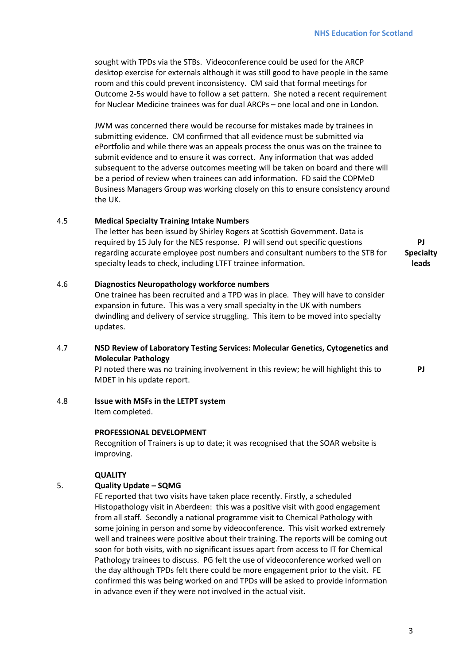sought with TPDs via the STBs. Videoconference could be used for the ARCP desktop exercise for externals although it was still good to have people in the same room and this could prevent inconsistency. CM said that formal meetings for Outcome 2-5s would have to follow a set pattern. She noted a recent requirement for Nuclear Medicine trainees was for dual ARCPs – one local and one in London.

JWM was concerned there would be recourse for mistakes made by trainees in submitting evidence. CM confirmed that all evidence must be submitted via ePortfolio and while there was an appeals process the onus was on the trainee to submit evidence and to ensure it was correct. Any information that was added subsequent to the adverse outcomes meeting will be taken on board and there will be a period of review when trainees can add information. FD said the COPMeD Business Managers Group was working closely on this to ensure consistency around the UK.

### 4.5 **Medical Specialty Training Intake Numbers**

The letter has been issued by Shirley Rogers at Scottish Government. Data is required by 15 July for the NES response. PJ will send out specific questions regarding accurate employee post numbers and consultant numbers to the STB for specialty leads to check, including LTFT trainee information. **Specialty** 

#### 4.6 **Diagnostics Neuropathology workforce numbers**

One trainee has been recruited and a TPD was in place. They will have to consider expansion in future. This was a very small specialty in the UK with numbers dwindling and delivery of service struggling. This item to be moved into specialty updates.

### 4.7 **NSD Review of Laboratory Testing Services: Molecular Genetics, Cytogenetics and Molecular Pathology**

PJ noted there was no training involvement in this review; he will highlight this to MDET in his update report.

### 4.8 **Issue with MSFs in the LETPT system**

Item completed.

### **PROFESSIONAL DEVELOPMENT**

Recognition of Trainers is up to date; it was recognised that the SOAR website is improving.

### **QUALITY**

# 5. **Quality Update – SQMG**

FE reported that two visits have taken place recently. Firstly, a scheduled Histopathology visit in Aberdeen: this was a positive visit with good engagement from all staff. Secondly a national programme visit to Chemical Pathology with some joining in person and some by videoconference. This visit worked extremely well and trainees were positive about their training. The reports will be coming out soon for both visits, with no significant issues apart from access to IT for Chemical Pathology trainees to discuss. PG felt the use of videoconference worked well on the day although TPDs felt there could be more engagement prior to the visit. FE confirmed this was being worked on and TPDs will be asked to provide information in advance even if they were not involved in the actual visit.

**PJ**

**leads**

**PJ**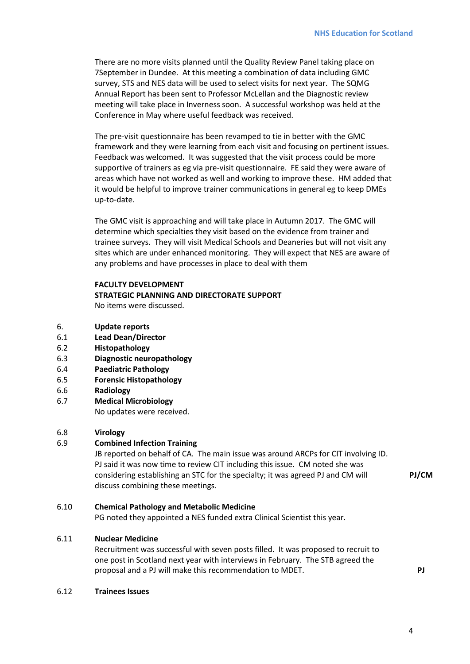There are no more visits planned until the Quality Review Panel taking place on 7September in Dundee. At this meeting a combination of data including GMC survey, STS and NES data will be used to select visits for next year. The SQMG Annual Report has been sent to Professor McLellan and the Diagnostic review meeting will take place in Inverness soon. A successful workshop was held at the Conference in May where useful feedback was received.

The pre-visit questionnaire has been revamped to tie in better with the GMC framework and they were learning from each visit and focusing on pertinent issues. Feedback was welcomed. It was suggested that the visit process could be more supportive of trainers as eg via pre-visit questionnaire. FE said they were aware of areas which have not worked as well and working to improve these. HM added that it would be helpful to improve trainer communications in general eg to keep DMEs up-to-date.

The GMC visit is approaching and will take place in Autumn 2017. The GMC will determine which specialties they visit based on the evidence from trainer and trainee surveys. They will visit Medical Schools and Deaneries but will not visit any sites which are under enhanced monitoring. They will expect that NES are aware of any problems and have processes in place to deal with them

# **FACULTY DEVELOPMENT STRATEGIC PLANNING AND DIRECTORATE SUPPORT** No items were discussed.

- 6. **Update reports**
- 6.1 **Lead Dean/Director**
- 6.2 **Histopathology**
- 6.3 **Diagnostic neuropathology**
- 6.4 **Paediatric Pathology**
- 6.5 **Forensic Histopathology**
- 6.6 **Radiology**
- 6.7 **Medical Microbiology** No updates were received.

# 6.8 **Virology**

# 6.9 **Combined Infection Training**

JB reported on behalf of CA. The main issue was around ARCPs for CIT involving ID. PJ said it was now time to review CIT including this issue. CM noted she was considering establishing an STC for the specialty; it was agreed PJ and CM will discuss combining these meetings.

**PJ/CM**

# 6.10 **Chemical Pathology and Metabolic Medicine**

PG noted they appointed a NES funded extra Clinical Scientist this year.

# 6.11 **Nuclear Medicine**

Recruitment was successful with seven posts filled. It was proposed to recruit to one post in Scotland next year with interviews in February. The STB agreed the proposal and a PJ will make this recommendation to MDET. **PJ**

### 6.12 **Trainees Issues**